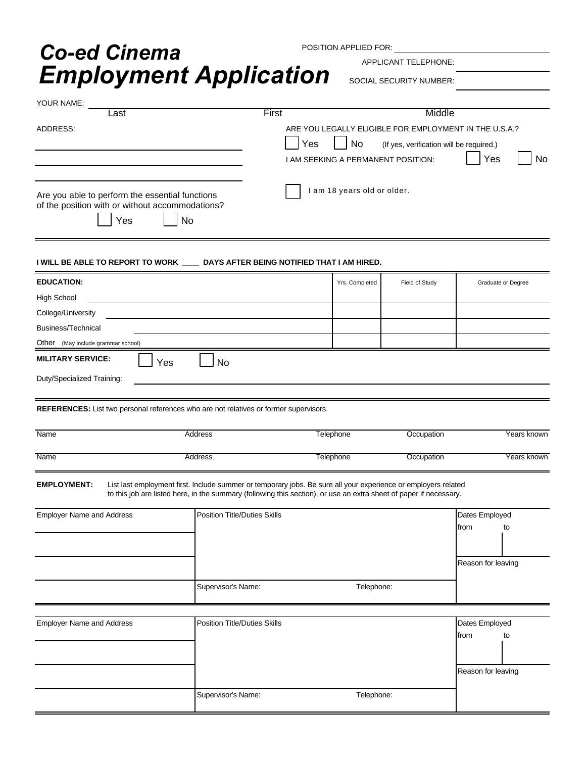## **Employment Application** SOCIAL SECURITY NUMBER: *Co-ed Cinema*

POSITION APPLIED FOR:

APPLICANT TELEPHONE:

| . <b>.</b>                                                                                                | 71 T II                                                                                                                                                                                                                              |                                           |                                                                                                           |                |                        |                    |  |
|-----------------------------------------------------------------------------------------------------------|--------------------------------------------------------------------------------------------------------------------------------------------------------------------------------------------------------------------------------------|-------------------------------------------|-----------------------------------------------------------------------------------------------------------|----------------|------------------------|--------------------|--|
| YOUR NAME:                                                                                                |                                                                                                                                                                                                                                      |                                           |                                                                                                           |                |                        |                    |  |
| _ast                                                                                                      |                                                                                                                                                                                                                                      | First                                     |                                                                                                           |                | Middle                 |                    |  |
| ADDRESS:                                                                                                  |                                                                                                                                                                                                                                      | Yes<br>I AM SEEKING A PERMANENT POSITION: | ARE YOU LEGALLY ELIGIBLE FOR EMPLOYMENT IN THE U.S.A.?<br>(If yes, verification will be required.)<br>Yes | No             |                        |                    |  |
| Are you able to perform the essential functions<br>of the position with or without accommodations?<br>Yes | No                                                                                                                                                                                                                                   |                                           | I am 18 years old or older.                                                                               |                |                        |                    |  |
| I WILL BE ABLE TO REPORT TO WORK ____ DAYS AFTER BEING NOTIFIED THAT I AM HIRED.                          |                                                                                                                                                                                                                                      |                                           |                                                                                                           |                |                        |                    |  |
| <b>EDUCATION:</b>                                                                                         |                                                                                                                                                                                                                                      |                                           | Yrs. Completed                                                                                            | Field of Study |                        | Graduate or Degree |  |
| <b>High School</b>                                                                                        |                                                                                                                                                                                                                                      |                                           |                                                                                                           |                |                        |                    |  |
| College/University                                                                                        |                                                                                                                                                                                                                                      |                                           |                                                                                                           |                |                        |                    |  |
| Business/Technical                                                                                        |                                                                                                                                                                                                                                      |                                           |                                                                                                           |                |                        |                    |  |
| Other (May include grammar school)                                                                        |                                                                                                                                                                                                                                      |                                           |                                                                                                           |                |                        |                    |  |
| <b>MILITARY SERVICE:</b><br>Yes                                                                           | <b>No</b>                                                                                                                                                                                                                            |                                           |                                                                                                           |                |                        |                    |  |
| Duty/Specialized Training:                                                                                |                                                                                                                                                                                                                                      |                                           |                                                                                                           |                |                        |                    |  |
| REFERENCES: List two personal references who are not relatives or former supervisors.                     |                                                                                                                                                                                                                                      |                                           |                                                                                                           |                |                        |                    |  |
| Name                                                                                                      | Address                                                                                                                                                                                                                              | Telephone                                 |                                                                                                           | Occupation     |                        |                    |  |
| Name                                                                                                      | Address                                                                                                                                                                                                                              | <b>Telephone</b>                          |                                                                                                           | Occupation     | Years known            |                    |  |
| <b>EMPLOYMENT:</b>                                                                                        | List last employment first. Include summer or temporary jobs. Be sure all your experience or employers related<br>to this job are listed here, in the summary (following this section), or use an extra sheet of paper if necessary. |                                           |                                                                                                           |                |                        |                    |  |
| <b>Employer Name and Address</b>                                                                          | Position Title/Duties Skills                                                                                                                                                                                                         |                                           |                                                                                                           |                | Dates Employed         |                    |  |
|                                                                                                           |                                                                                                                                                                                                                                      |                                           |                                                                                                           |                | from                   | to                 |  |
|                                                                                                           |                                                                                                                                                                                                                                      |                                           |                                                                                                           |                | Reason for leaving     |                    |  |
|                                                                                                           | Supervisor's Name:                                                                                                                                                                                                                   | Telephone:                                |                                                                                                           |                |                        |                    |  |
|                                                                                                           |                                                                                                                                                                                                                                      |                                           |                                                                                                           |                |                        |                    |  |
| <b>Employer Name and Address</b>                                                                          | <b>Position Title/Duties Skills</b>                                                                                                                                                                                                  |                                           |                                                                                                           |                | Dates Employed<br>from | to                 |  |
|                                                                                                           |                                                                                                                                                                                                                                      |                                           |                                                                                                           |                |                        |                    |  |
|                                                                                                           |                                                                                                                                                                                                                                      |                                           |                                                                                                           |                | Reason for leaving     |                    |  |
|                                                                                                           | Supervisor's Name:                                                                                                                                                                                                                   |                                           | Telephone:                                                                                                |                |                        |                    |  |